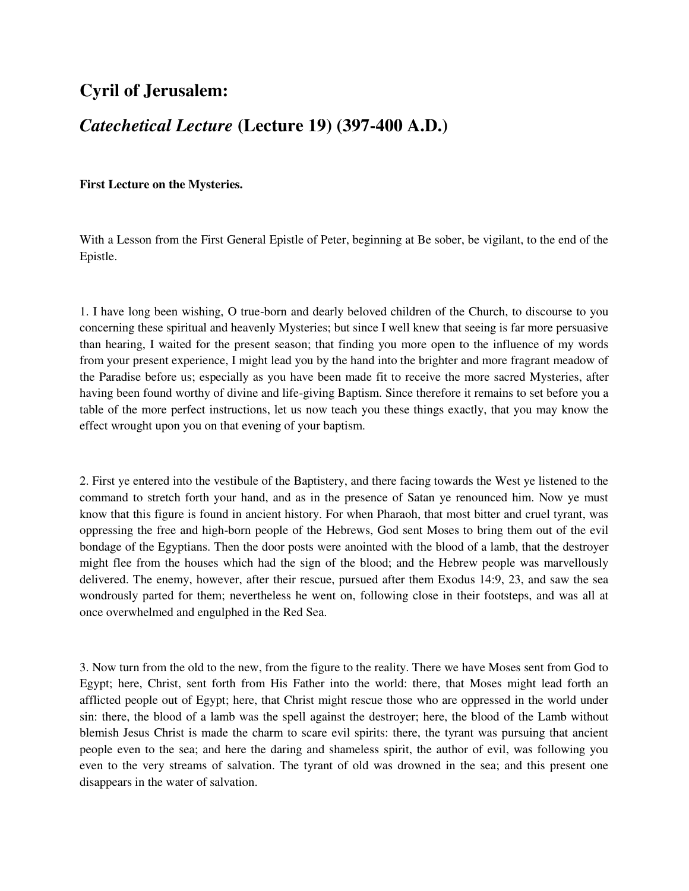## **Cyril of Jerusalem:**

## *Catechetical Lecture* **(Lecture 19) (397-400 A.D.)**

## **First Lecture on the Mysteries.**

With a Lesson from the First General Epistle of Peter, beginning at Be sober, be vigilant, to the end of the Epistle.

1. I have long been wishing, O true-born and dearly beloved children of the Church, to discourse to you concerning these spiritual and heavenly Mysteries; but since I well knew that seeing is far more persuasive than hearing, I waited for the present season; that finding you more open to the influence of my words from your present experience, I might lead you by the hand into the brighter and more fragrant meadow of the Paradise before us; especially as you have been made fit to receive the more sacred Mysteries, after having been found worthy of divine and life-giving Baptism. Since therefore it remains to set before you a table of the more perfect instructions, let us now teach you these things exactly, that you may know the effect wrought upon you on that evening of your baptism.

2. First ye entered into the vestibule of the Baptistery, and there facing towards the West ye listened to the command to stretch forth your hand, and as in the presence of Satan ye renounced him. Now ye must know that this figure is found in ancient history. For when Pharaoh, that most bitter and cruel tyrant, was oppressing the free and high-born people of the Hebrews, God sent Moses to bring them out of the evil bondage of the Egyptians. Then the door posts were anointed with the blood of a lamb, that the destroyer might flee from the houses which had the sign of the blood; and the Hebrew people was marvellously delivered. The enemy, however, after their rescue, pursued after them Exodus 14:9, 23, and saw the sea wondrously parted for them; nevertheless he went on, following close in their footsteps, and was all at once overwhelmed and engulphed in the Red Sea.

3. Now turn from the old to the new, from the figure to the reality. There we have Moses sent from God to Egypt; here, Christ, sent forth from His Father into the world: there, that Moses might lead forth an afflicted people out of Egypt; here, that Christ might rescue those who are oppressed in the world under sin: there, the blood of a lamb was the spell against the destroyer; here, the blood of the Lamb without blemish Jesus Christ is made the charm to scare evil spirits: there, the tyrant was pursuing that ancient people even to the sea; and here the daring and shameless spirit, the author of evil, was following you even to the very streams of salvation. The tyrant of old was drowned in the sea; and this present one disappears in the water of salvation.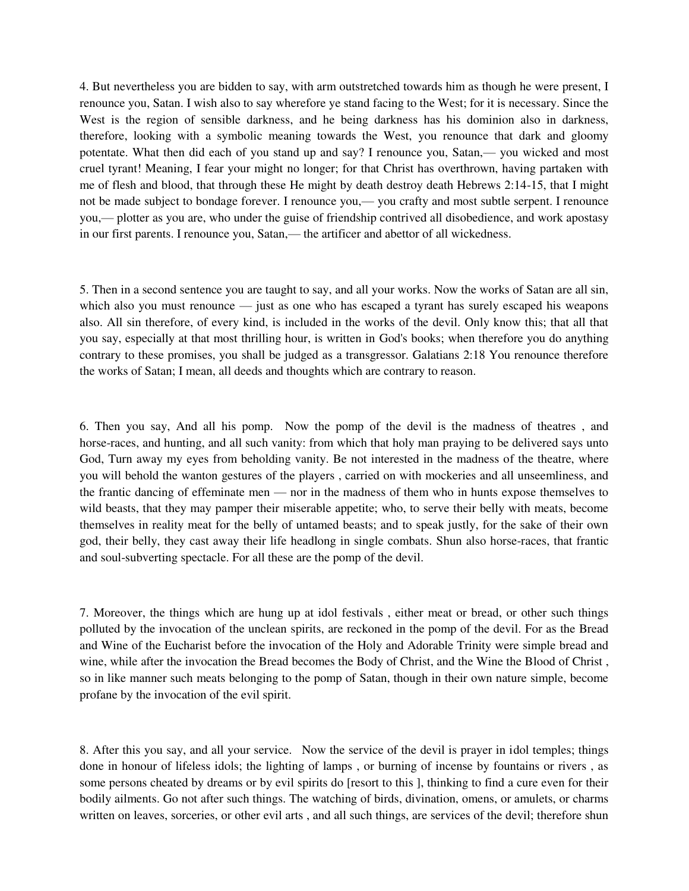4. But nevertheless you are bidden to say, with arm outstretched towards him as though he were present, I renounce you, Satan. I wish also to say wherefore ye stand facing to the West; for it is necessary. Since the West is the region of sensible darkness, and he being darkness has his dominion also in darkness, therefore, looking with a symbolic meaning towards the West, you renounce that dark and gloomy potentate. What then did each of you stand up and say? I renounce you, Satan,— you wicked and most cruel tyrant! Meaning, I fear your might no longer; for that Christ has overthrown, having partaken with me of flesh and blood, that through these He might by death destroy death Hebrews 2:14-15, that I might not be made subject to bondage forever. I renounce you,— you crafty and most subtle serpent. I renounce you,— plotter as you are, who under the guise of friendship contrived all disobedience, and work apostasy in our first parents. I renounce you, Satan,— the artificer and abettor of all wickedness.

5. Then in a second sentence you are taught to say, and all your works. Now the works of Satan are all sin, which also you must renounce — just as one who has escaped a tyrant has surely escaped his weapons also. All sin therefore, of every kind, is included in the works of the devil. Only know this; that all that you say, especially at that most thrilling hour, is written in God's books; when therefore you do anything contrary to these promises, you shall be judged as a transgressor. Galatians 2:18 You renounce therefore the works of Satan; I mean, all deeds and thoughts which are contrary to reason.

6. Then you say, And all his pomp. Now the pomp of the devil is the madness of theatres , and horse-races, and hunting, and all such vanity: from which that holy man praying to be delivered says unto God, Turn away my eyes from beholding vanity. Be not interested in the madness of the theatre, where you will behold the wanton gestures of the players , carried on with mockeries and all unseemliness, and the frantic dancing of effeminate men — nor in the madness of them who in hunts expose themselves to wild beasts, that they may pamper their miserable appetite; who, to serve their belly with meats, become themselves in reality meat for the belly of untamed beasts; and to speak justly, for the sake of their own god, their belly, they cast away their life headlong in single combats. Shun also horse-races, that frantic and soul-subverting spectacle. For all these are the pomp of the devil.

7. Moreover, the things which are hung up at idol festivals , either meat or bread, or other such things polluted by the invocation of the unclean spirits, are reckoned in the pomp of the devil. For as the Bread and Wine of the Eucharist before the invocation of the Holy and Adorable Trinity were simple bread and wine, while after the invocation the Bread becomes the Body of Christ, and the Wine the Blood of Christ , so in like manner such meats belonging to the pomp of Satan, though in their own nature simple, become profane by the invocation of the evil spirit.

8. After this you say, and all your service. Now the service of the devil is prayer in idol temples; things done in honour of lifeless idols; the lighting of lamps , or burning of incense by fountains or rivers , as some persons cheated by dreams or by evil spirits do [resort to this ], thinking to find a cure even for their bodily ailments. Go not after such things. The watching of birds, divination, omens, or amulets, or charms written on leaves, sorceries, or other evil arts, and all such things, are services of the devil; therefore shun